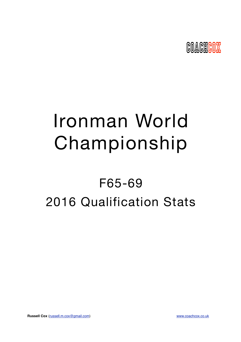

# Ironman World Championship

# F65-69 2016 Qualification Stats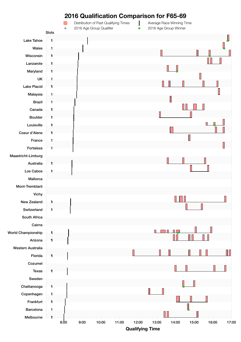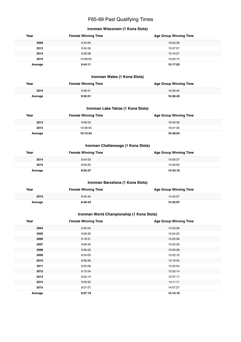# F65-69 Past Qualifying Times

# **Ironman Wisconsin (1 Kona Slots)**

| Year    | <b>Female Winning Time</b> | <b>Age Group Winning Time</b> |
|---------|----------------------------|-------------------------------|
| 2009    | 9:43:59                    | 16:53:39                      |
| 2012    | 9:34:35                    | 15:07:57                      |
| 2014    | 9:30:08                    | 13:16:27                      |
| 2015    | 10:08:05                   | 15:50:12                      |
| Average | 9:44:11                    | 15:17:03                      |

# **Ironman Wales (1 Kona Slots)**

| Year    | <b>Female Winning Time</b> | <b>Age Group Winning Time</b> |
|---------|----------------------------|-------------------------------|
| 2015    | 9:56:31                    | 16:36:45                      |
| Average | 9:56:31                    | 16:36:45                      |

# **Ironman Lake Tahoe (1 Kona Slots)**

| Year    | <b>Female Winning Time</b> | <b>Age Group Winning Time</b> |
|---------|----------------------------|-------------------------------|
| 2013    | 9:58:53                    | 16:50:39                      |
| 2015    | 10:28:55                   | 16:47:30                      |
| Average | 10:13:54                   | 16:49:04                      |

# **Ironman Chattanooga (1 Kona Slots)**

| Year    | <b>Female Winning Time</b> | <b>Age Group Winning Time</b> |
|---------|----------------------------|-------------------------------|
| 2014    | 8:54:55                    | 15:00:37                      |
| 2015    | 8:56:00                    | 14:26:00                      |
| Average | 8:55:27                    | 14:43:18                      |

# **Ironman Barcelona (1 Kona Slots)**

| Year    | <b>Female Winning Time</b> | <b>Age Group Winning Time</b> |
|---------|----------------------------|-------------------------------|
| 2015    | 8:46:44                    | 14:42:07                      |
| Average | 8:46:44                    | 14:42:07                      |

# **Ironman World Championship (1 Kona Slots)**

| Year    | <b>Female Winning Time</b> | <b>Age Group Winning Time</b> |
|---------|----------------------------|-------------------------------|
| 2004    | 9:50:04                    | 15:53:58                      |
| 2005    | 9:09:30                    | 13:54:25                      |
| 2006    | 9:18:31                    | 15:05:36                      |
| 2007    | 9:08:45                    | 15:55:30                      |
| 2008    | 9:06:23                    | 15:05:38                      |
| 2009    | 8:54:02                    | 13:22:10                      |
| 2010    | 8:58:36                    | 13:16:32                      |
| 2011    | 8:55:08                    | 13:25:04                      |
| 2012    | 9:15:54                    | 13:35:14                      |
| 2013    | 8:52:14                    | 12:57:17                      |
| 2014    | 9:00:55                    | 14:11:11                      |
| 2015    | 8:57:57                    | 14:07:27                      |
| Average | 9:07:19                    | 14:14:10                      |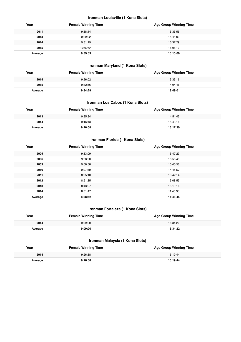# **Ironman Louisville (1 Kona Slots)**

| Year    | <b>Female Winning Time</b> | <b>Age Group Winning Time</b> |
|---------|----------------------------|-------------------------------|
| 2011    | 9:38:14                    | 16:35:56                      |
| 2013    | 9:29:02                    | 15:41:03                      |
| 2014    | 9:31:19                    | 16:37:29                      |
| 2015    | 10:00:04                   | 16:06:10                      |
| Average | 9:39:39                    | 16:15:09                      |

# **Ironman Maryland (1 Kona Slots)**

| Year    | <b>Female Winning Time</b> | <b>Age Group Winning Time</b> |
|---------|----------------------------|-------------------------------|
| 2014    | 9:26:02                    | 13:33:16                      |
| 2015    | 9:42:56                    | 14:04:46                      |
| Average | 9:34:29                    | 13:49:01                      |

#### **Ironman Los Cabos (1 Kona Slots)**

| Year    | <b>Female Winning Time</b> | <b>Age Group Winning Time</b> |
|---------|----------------------------|-------------------------------|
| 2013    | 9:35:34                    | 14:51:45                      |
| 2014    | 9:16:43                    | 15:43:16                      |
| Average | 9:26:08                    | 15:17:30                      |

# **Ironman Florida (1 Kona Slots)**

| Year    | <b>Female Winning Time</b> | <b>Age Group Winning Time</b> |
|---------|----------------------------|-------------------------------|
| 2005    | 9:33:09                    | 16:47:29                      |
| 2006    | 9:28:28                    | 16:55:43                      |
| 2009    | 9:08:38                    | 15:40:56                      |
| 2010    | 9:07:49                    | 14:45:57                      |
| 2011    | 8:55:10                    | 13:42:14                      |
| 2012    | 8:51:35                    | 13:08:53                      |
| 2013    | 8:43:07                    | 15:19:16                      |
| 2014    | 8:01:47                    | 11:45:38                      |
| Average | 8:58:42                    | 14:45:45                      |

# **Ironman Fortaleza (1 Kona Slots)**

| Year    | <b>Female Winning Time</b> | <b>Age Group Winning Time</b> |
|---------|----------------------------|-------------------------------|
| 2014    | 9:09:20                    | 16:34:22                      |
| Average | 9:09:20                    | 16:34:22                      |

# **Ironman Malaysia (1 Kona Slots)**

| Year    | <b>Female Winning Time</b> | <b>Age Group Winning Time</b> |
|---------|----------------------------|-------------------------------|
| 2014    | 9:26:38                    | 16:19:44                      |
| Average | 9:26:38                    | 16:19:44                      |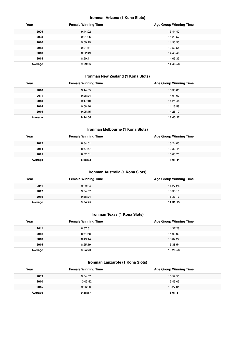# **Ironman Arizona (1 Kona Slots)**

| Year    | <b>Female Winning Time</b> | <b>Age Group Winning Time</b> |
|---------|----------------------------|-------------------------------|
| 2005    | 9:44:02                    | 15:44:42                      |
| 2008    | 9:21:06                    | 15:29:57                      |
| 2010    | 9:09:19                    | 14:53:53                      |
| 2012    | 9:01:41                    | 13:52:55                      |
| 2013    | 8:52:49                    | 14:46:46                      |
| 2014    | 8:50:41                    | 14:05:39                      |
| Average | 9:09:56                    | 14:48:58                      |

# **Ironman New Zealand (1 Kona Slots)**

| Year    | <b>Female Winning Time</b> | <b>Age Group Winning Time</b> |
|---------|----------------------------|-------------------------------|
| 2010    | 9:14:35                    | 16:38:05                      |
| 2011    | 9:28:24                    | 14:01:00                      |
| 2013    | 9:17:10                    | 14:21:44                      |
| 2014    | 9:08:46                    | 14:16:58                      |
| 2015    | 9:05:45                    | 14:28:17                      |
| Average | 9:14:56                    | 14:45:12                      |

# **Ironman Melbourne (1 Kona Slots)**

| Year    | <b>Female Winning Time</b> | <b>Age Group Winning Time</b> |
|---------|----------------------------|-------------------------------|
| 2012    | 8:34:51                    | 13:24:03                      |
| 2014    | 8:57:57                    | 13:32:44                      |
| 2015    | 8:52:51                    | 15:08:25                      |
| Average | 8:48:33                    | 14:01:44                      |

# **Ironman Australia (1 Kona Slots)**

| Year    | <b>Female Winning Time</b> | <b>Age Group Winning Time</b> |
|---------|----------------------------|-------------------------------|
| 2011    | 9:29:54                    | 14:27:24                      |
| 2012    | 9:34:57                    | 13:33:10                      |
| 2015    | 9:38:24                    | 15:33:13                      |
| Average | 9:34:25                    | 14:31:15                      |

# **Ironman Texas (1 Kona Slots)**

| Year    | <b>Female Winning Time</b> | <b>Age Group Winning Time</b> |
|---------|----------------------------|-------------------------------|
| 2011    | 8:57:51                    | 14:37:28                      |
| 2012    | 8:54:58                    | 14:00:09                      |
| 2013    | 8:49:14                    | 16:07:22                      |
| 2015    | 8:55:19                    | 16:38:54                      |
| Average | 8:54:20                    | 15:20:58                      |

# **Ironman Lanzarote (1 Kona Slots)**

| Year    | <b>Female Winning Time</b> | <b>Age Group Winning Time</b> |
|---------|----------------------------|-------------------------------|
| 2009    | 9:54:57                    | 15:52:55                      |
| 2010    | 10:03:52                   | 15:45:09                      |
| 2015    | 9:56:03                    | 16:27:01                      |
| Average | 9:58:17                    | 16:01:41                      |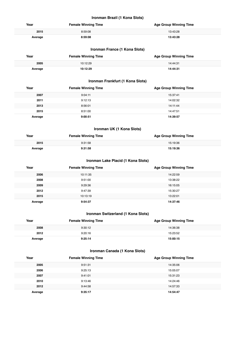# **Ironman Brazil (1 Kona Slots)**

| Year    | <b>Female Winning Time</b> | <b>Age Group Winning Time</b> |
|---------|----------------------------|-------------------------------|
| 2015    | 8:59:08                    | 13:43:28                      |
| Average | 8:59:08                    | 13:43:28                      |

# **Ironman France (1 Kona Slots)**

| Year    | <b>Female Winning Time</b> | <b>Age Group Winning Time</b> |
|---------|----------------------------|-------------------------------|
| 2005    | 10:12:29                   | 14:44:31                      |
| Average | 10:12:29                   | 14:44:31                      |

# **Ironman Frankfurt (1 Kona Slots)**

| Year    | <b>Female Winning Time</b> | <b>Age Group Winning Time</b> |
|---------|----------------------------|-------------------------------|
| 2007    | 9:04:11                    | 15:37:41                      |
| 2011    | 9:12:13                    | 14:02:32                      |
| 2013    | 8:56:01                    | 14:11:44                      |
| 2015    | 8:51:00                    | 14:47:51                      |
| Average | 9:00:51                    | 14:39:57                      |

# **Ironman UK (1 Kona Slots)**

| Year    | <b>Female Winning Time</b> | <b>Age Group Winning Time</b> |
|---------|----------------------------|-------------------------------|
| 2015    | 9:31:58                    | 15:19:36                      |
| Average | 9:31:58                    | 15:19:36                      |

#### **Ironman Lake Placid (1 Kona Slots)**

| Year    | <b>Female Winning Time</b> | <b>Age Group Winning Time</b> |
|---------|----------------------------|-------------------------------|
| 2006    | 10:11:35                   | 14:22:59                      |
| 2008    | 9:51:00                    | 13:38:22                      |
| 2009    | 9:29:36                    | 16:15:05                      |
| 2012    | 9:47:39                    | 15:30:27                      |
| 2015    | 10:13:19                   | 13:22:01                      |
| Average | 9:54:37                    | 14:37:46                      |

# **Ironman Switzerland (1 Kona Slots)**

| Year    | <b>Female Winning Time</b> | <b>Age Group Winning Time</b> |
|---------|----------------------------|-------------------------------|
| 2008    | 9:30:12                    | 14:36:38                      |
| 2012    | 9:20:16                    | 15:23:52                      |
| Average | 9:25:14                    | 15:00:15                      |

# **Ironman Canada (1 Kona Slots)**

| Year    | <b>Female Winning Time</b> | <b>Age Group Winning Time</b> |
|---------|----------------------------|-------------------------------|
| 2005    | 9:51:31                    | 14:35:06                      |
| 2006    | 9:25:13                    | 15:05:07                      |
| 2007    | 9:41:01                    | 15:31:23                      |
| 2010    | 9:13:46                    | 14:24:46                      |
| 2012    | 9:44:58                    | 14:57:33                      |
| Average | 9:35:17                    | 14:54:47                      |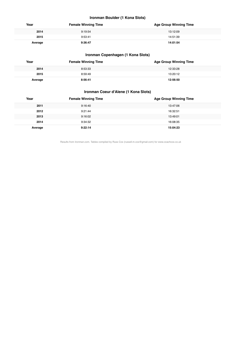# **Ironman Boulder (1 Kona Slots)**

| Year    | <b>Female Winning Time</b> | <b>Age Group Winning Time</b> |
|---------|----------------------------|-------------------------------|
| 2014    | 9:19:54                    | 13:12:09                      |
| 2015    | 9:53:41                    | 14:51:39                      |
| Average | 9:36:47                    | 14:01:54                      |

# **Ironman Copenhagen (1 Kona Slots)**

| Year    | <b>Female Winning Time</b> | <b>Age Group Winning Time</b> |
|---------|----------------------------|-------------------------------|
| 2014    | 8:53:33                    | 12:33:28                      |
| 2015    | 8:59:49                    | 13:20:12                      |
| Average | 8:56:41                    | 12:56:50                      |

# **Ironman Coeur d'Alene (1 Kona Slots)**

| Year    | <b>Female Winning Time</b> | <b>Age Group Winning Time</b> |
|---------|----------------------------|-------------------------------|
| 2011    | 9:16:40                    | 13:47:06                      |
| 2012    | 9:21:44                    | 16:32:51                      |
| 2013    | 9:16:02                    | 13:49:01                      |
| 2014    | 9:34:32                    | 16:08:35                      |
| Average | 9:22:14                    | 15:04:23                      |

Results from Ironman.com. Tables compiled by Russ Cox (russell.m.cox@gmail.com) for www.coachcox.co.uk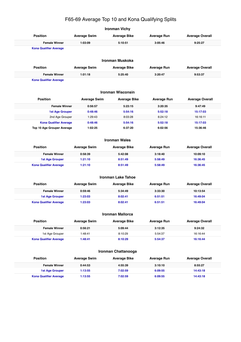# F65-69 Average Top 10 and Kona Qualifying Splits

**Ironman Vichy**

| <b>Position</b>               | <b>Average Swim</b> | <b>Average Bike</b>       | <b>Average Run</b> | <b>Average Overall</b> |  |
|-------------------------------|---------------------|---------------------------|--------------------|------------------------|--|
| <b>Female Winner</b>          | 1:03:09             | 5:10:51                   | 3:05:46            | 9:25:27                |  |
| <b>Kona Qualifier Average</b> |                     |                           |                    |                        |  |
|                               |                     |                           |                    |                        |  |
|                               |                     | <b>Ironman Muskoka</b>    |                    |                        |  |
| <b>Position</b>               | <b>Average Swim</b> | <b>Average Bike</b>       | <b>Average Run</b> | <b>Average Overall</b> |  |
| <b>Female Winner</b>          | 1:01:18             | 5:25:40                   | 3:20:47            | 9:53:37                |  |
| <b>Kona Qualifier Average</b> |                     |                           |                    |                        |  |
|                               |                     |                           |                    |                        |  |
|                               |                     | <b>Ironman Wisconsin</b>  |                    |                        |  |
| <b>Position</b>               | <b>Average Swim</b> | <b>Average Bike</b>       | <b>Average Run</b> | <b>Average Overall</b> |  |
| <b>Female Winner</b>          | 0:56:57             | 5:23:15                   | 3:20:35            | 9:47:49                |  |
| <b>1st Age Grouper</b>        | 0:48:46             | 5:54:16                   | 5:52:18            | 15:17:03               |  |
| 2nd Age Grouper               | 1:29:43             | 8:03:28                   | 6:24:12            | 16:16:11               |  |
| <b>Kona Qualifier Average</b> | 0:48:46             | 5:54:16                   | 5:52:18            | 15:17:03               |  |
| Top 10 Age Grouper Average    | 1:02:25             | 6:37:20                   | 6:02:56            | 15:36:46               |  |
|                               |                     |                           |                    |                        |  |
|                               |                     | <b>Ironman Wales</b>      |                    |                        |  |
| <b>Position</b>               | <b>Average Swim</b> | <b>Average Bike</b>       | <b>Average Run</b> | <b>Average Overall</b> |  |
| <b>Female Winner</b>          | 0:58:39             | 5:42:08                   | 3:18:40            | 10:09:10               |  |
| <b>1st Age Grouper</b>        | 1:21:10             | 8:51:49                   | 5:58:49            | 16:36:45               |  |
| <b>Kona Qualifier Average</b> | 1:21:10             | 8:51:49                   | 5:58:49            | 16:36:45               |  |
|                               |                     |                           |                    |                        |  |
|                               |                     | <b>Ironman Lake Tahoe</b> |                    |                        |  |
| <b>Position</b>               | <b>Average Swim</b> | <b>Average Bike</b>       | <b>Average Run</b> | <b>Average Overall</b> |  |
| <b>Female Winner</b>          | 0:59:46             | 5:34:49                   | 3:33:30            | 10:13:54               |  |
| <b>1st Age Grouper</b>        | 1:23:03             | 8:02:41                   | 6:51:51            | 16:49:04               |  |
| <b>Kona Qualifier Average</b> | 1:23:03             | 8:02:41                   | 6:51:51            | 16:49:04               |  |
|                               |                     |                           |                    |                        |  |
|                               |                     | <b>Ironman Mallorca</b>   |                    |                        |  |
| <b>Position</b>               | <b>Average Swim</b> | <b>Average Bike</b>       | <b>Average Run</b> | <b>Average Overall</b> |  |
| <b>Female Winner</b>          | 0:56:21             | 5:09:44                   | 3:12:35            | 9:24:32                |  |
| 1st Age Grouper               | 1:48:41             | 8:10:29                   | 5:54:37            | 16:16:44               |  |
| <b>Kona Qualifier Average</b> | 1:48:41             | 8:10:29                   | 5:54:37            | 16:16:44               |  |
|                               |                     |                           |                    |                        |  |
| Ironman Chattanooga           |                     |                           |                    |                        |  |
| <b>Position</b>               | <b>Average Swim</b> | <b>Average Bike</b>       | <b>Average Run</b> | <b>Average Overall</b> |  |
| <b>Female Winner</b>          | 0:44:53             | 4:55:39                   | 3:10:10            | 8:55:27                |  |
| <b>1st Age Grouper</b>        | 1:13:55             | 7:02:59                   | 6:09:55            | 14:43:18               |  |
| <b>Kona Qualifier Average</b> | 1:13:55             | 7:02:59                   | 6:09:55            | 14:43:18               |  |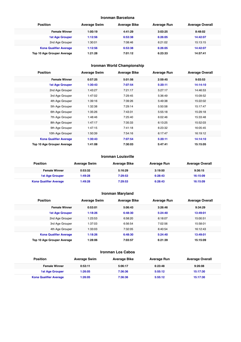#### **Ironman Barcelona**

| <b>Position</b>               | <b>Average Swim</b> | <b>Average Bike</b> | Average Run | <b>Average Overall</b> |
|-------------------------------|---------------------|---------------------|-------------|------------------------|
| <b>Female Winner</b>          | 1:00:19             | 4:41:29             | 3:03:25     | 8:48:02                |
| <b>1st Age Grouper</b>        | 1:12:56             | 6:53:38             | 6:26:05     | 14:42:07               |
| 2nd Age Grouper               | 1:30:01             | 7:08:46             | 6:21:02     | 15:13:15               |
| <b>Kona Qualifier Average</b> | 1:12:56             | 6:53:38             | 6:26:05     | 14:42:07               |
| Top 10 Age Grouper Average    | 1:21:28             | 7:01:12             | 6:23:33     | 14:57:41               |

# **Ironman World Championship**

| <b>Position</b>               | <b>Average Swim</b> | <b>Average Bike</b> | <b>Average Run</b> | <b>Average Overall</b> |
|-------------------------------|---------------------|---------------------|--------------------|------------------------|
| <b>Female Winner</b>          | 0:57:25             | 5:01:56             | 2:59:45            | 9:03:53                |
| <b>1st Age Grouper</b>        | 1:30:43             | 7:07:54             | 5:20:11            | 14:14:10               |
| 2nd Age Grouper               | 1:43:27             | 7:21:17             | 5:27:17            | 14:46:53               |
| 3rd Age Grouper               | 1:47:02             | 7:29:45             | 5:36:49            | 15:09:52               |
| 4th Age Grouper               | 1:39:16             | 7:39:26             | 5:49:38            | 15:22:02               |
| 5th Age Grouper               | 1:32:38             | 7:29:14             | 5:50:58            | 15:17:47               |
| 6th Age Grouper               | 1:35:26             | 7:43:31             | 5:55:18            | 15:29:18               |
| 7th Age Grouper               | 1:48:46             | 7:25:40             | 6:02:46            | 15:33:48               |
| 8th Age Grouper               | 1:47:17             | 7:35:33             | 6:13:25            | 15:52:03               |
| 9th Age Grouper               | 1:47:15             | 7:41:18             | 6:23:32            | 16:05:45               |
| 10th Age Grouper              | 1:50:39             | 7:54:16             | 6:17:47            | 16:19:12               |
| <b>Kona Qualifier Average</b> | 1:30:43             | 7:07:54             | 5:20:11            | 14:14:10               |
| Top 10 Age Grouper Average    | 1:41:08             | 7:30:03             | 5:47:41            | 15:15:05               |

#### **Ironman Louisville**

| <b>Position</b>               | <b>Average Swim</b> | <b>Average Bike</b> | <b>Average Run</b> | <b>Average Overall</b> |
|-------------------------------|---------------------|---------------------|--------------------|------------------------|
| <b>Female Winner</b>          | 0:53:32             | 5:16:29             | 3:19:50            | 9:36:15                |
| <b>1st Age Grouper</b>        | 1:49:28             | 7:29:53             | 6:28:43            | 16:15:09               |
| <b>Kona Qualifier Average</b> | 1:49:28             | 7:29:53             | 6:28:43            | 16:15:09               |

# **Ironman Maryland**

| <b>Position</b>               | <b>Average Swim</b> | <b>Average Bike</b> | <b>Average Run</b> | <b>Average Overall</b> |
|-------------------------------|---------------------|---------------------|--------------------|------------------------|
| <b>Female Winner</b>          | 0:53:01             | 5:06:43             | 3:26:46            | 9:34:29                |
| <b>1st Age Grouper</b>        | 1:18:26             | 6:48:30             | 5:24:40            | 13:49:01               |
| 2nd Age Grouper               | 1:23:53             | 6:58:20             | 6:18:07            | 15:00:51               |
| 3rd Age Grouper               | 1:37:03             | 6:56:54             | 7:02:56            | 15:58:01               |
| 4th Age Grouper               | 1:33:03             | 7:32:05             | 6:40:54            | 16:12:43               |
| <b>Kona Qualifier Average</b> | 1:18:26             | 6:48:30             | 5:24:40            | 13:49:01               |
| Top 10 Age Grouper Average    | 1:28:06             | 7:03:57             | 6:21:39            | 15:15:09               |

#### **Ironman Los Cabos**

| <b>Position</b>               | <b>Average Swim</b> | <b>Average Bike</b> | <b>Average Run</b> | <b>Average Overall</b> |
|-------------------------------|---------------------|---------------------|--------------------|------------------------|
| <b>Female Winner</b>          | 0:53:11             | 5:06:17             | 6:23:48            | 9:26:08                |
| <b>1st Age Grouper</b>        | 1:26:05             | 7:36:36             | 5:55:12            | 15:17:30               |
| <b>Kona Qualifier Average</b> | 1:26:05             | 7:36:36             | 5:55:12            | 15:17:30               |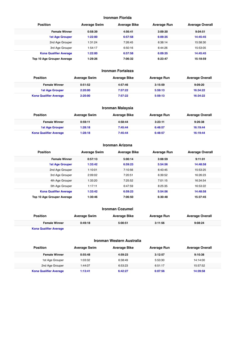#### **Ironman Florida**

| <b>Position</b>               | <b>Average Swim</b> | <b>Average Bike</b> | <b>Average Run</b> | <b>Average Overall</b> |
|-------------------------------|---------------------|---------------------|--------------------|------------------------|
| <b>Female Winner</b>          | 0:58:39             | 4:56:41             | 3:09:30            | 9:04:51                |
| <b>1st Age Grouper</b>        | 1:22:00             | 6:57:58             | 6:09:35            | 14:45:45               |
| 2nd Age Grouper               | 1:31:24             | 7:26:45             | 6:38:14            | 15:58:30               |
| 3rd Age Grouper               | 1:54:17             | 6:50:16             | 6:44:26            | 15:53:05               |
| <b>Kona Qualifier Average</b> | 1:22:00             | 6:57:58             | 6:09:35            | 14:45:45               |
| Top 10 Age Grouper Average    | 1:29:26             | 7:06:32             | 6:23:47            | 15:18:59               |

#### **Ironman Fortaleza**

| <b>Position</b>               | <b>Average Swim</b> | <b>Average Bike</b> | Average Run | <b>Average Overall</b> |
|-------------------------------|---------------------|---------------------|-------------|------------------------|
| <b>Female Winner</b>          | 0:51:52             | 4:57:46             | 3:15:59     | 9:09:20                |
| <b>1st Age Grouper</b>        | 2:20:00             | 7:57:22             | 5:59:13     | 16:34:22               |
| <b>Kona Qualifier Average</b> | 2:20:00             | 7:57:22             | 5:59:13     | 16:34:22               |

# **Ironman Malaysia**

| <b>Position</b>               | <b>Average Swim</b> | <b>Average Bike</b> | Average Run | <b>Average Overall</b> |
|-------------------------------|---------------------|---------------------|-------------|------------------------|
| <b>Female Winner</b>          | 0:59:11             | 4:58:44             | 3:23:11     | 9:26:38                |
| <b>1st Age Grouper</b>        | 1:28:18             | 7:45:44             | 6:48:57     | 16:19:44               |
| <b>Kona Qualifier Average</b> | 1:28:18             | 7:45:44             | 6:48:57     | 16:19:44               |

# **Ironman Arizona**

| <b>Position</b>               | <b>Average Swim</b> | <b>Average Bike</b> | <b>Average Run</b> | <b>Average Overall</b> |
|-------------------------------|---------------------|---------------------|--------------------|------------------------|
| <b>Female Winner</b>          | 0:57:13             | 5:00:14             | 3:08:59            | 9:11:01                |
| <b>1st Age Grouper</b>        | 1:33:42             | 6:59:23             | 5:54:56            | 14:48:58               |
| 2nd Age Grouper               | 1:10:01             | 7:10:56             | 6:43:45            | 15:53:25               |
| 3rd Age Grouper               | 2:09:02             | 7:20:51             | 6:39:52            | 16:26:23               |
| 4th Age Grouper               | 1:33:20             | 7:25:52             | 7:01:15            | 16:34:54               |
| 5th Age Grouper               | 1:17:11             | 6:47:59             | 8:25:35            | 16:53:22               |
| <b>Kona Qualifier Average</b> | 1:33:42             | 6:59:23             | 5:54:56            | 14:48:58               |
| Top 10 Age Grouper Average    | 1:30:46             | 7:06:50             | 6:30:48            | 15:37:45               |

#### **Ironman Cozumel**

| <b>Position</b>        | <b>Average Swim</b> | Average Bike | Average Run | <b>Average Overall</b> |  |
|------------------------|---------------------|--------------|-------------|------------------------|--|
| <b>Female Winner</b>   | 0:49:18             | 5:00:51      | 3:11:56     | 9:08:24                |  |
| Kana Qualifier Averson |                     |              |             |                        |  |

**Kona Qualifier Average**

Ī

#### **Ironman Western Australia**

| Position                      | <b>Average Swim</b> | Average Bike | <b>Average Run</b> | <b>Average Overall</b> |
|-------------------------------|---------------------|--------------|--------------------|------------------------|
| <b>Female Winner</b>          | 0:55:48             | 4:59:23      | 3:12:57            | 9:10:38                |
| 1st Age Grouper               | 1:03:32             | 6:38:49      | 5:53:30            | 14:14:00               |
| 2nd Age Grouper               | 1:44:07             | 6:53:23      | 6:51:17            | 15:57:52               |
| <b>Kona Qualifier Average</b> | 1:13:41             | 6:42:27      | 6:07:56            | 14:39:58               |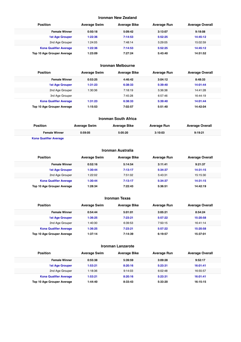#### **Ironman New Zealand**

| <b>Position</b>               | <b>Average Swim</b> | <b>Average Bike</b> | <b>Average Run</b> | <b>Average Overall</b> |
|-------------------------------|---------------------|---------------------|--------------------|------------------------|
| <b>Female Winner</b>          | 0:50:18             | 5:09:42             | 3:13:07            | 9:18:08                |
| <b>1st Age Grouper</b>        | 1:22:36             | 7:14:53             | 5:52:25            | 14:45:12               |
| 2nd Age Grouper               | 1:24:05             | 7:48:14             | 5:29:05            | 15:02:59               |
| <b>Kona Qualifier Average</b> | 1:22:36             | 7:14:53             | 5:52:25            | 14:45:12               |
| Top 10 Age Grouper Average    | 1:23:09             | 7:27:24             | 5:43:40            | 14:51:52               |

# **Ironman Melbourne**

| <b>Position</b>               | <b>Average Swim</b> | <b>Average Bike</b> | <b>Average Run</b> | <b>Average Overall</b> |  |
|-------------------------------|---------------------|---------------------|--------------------|------------------------|--|
| <b>Female Winner</b>          | 0:53:25             | 4:46:42             | 3:04:12            | 8:48:33                |  |
| <b>1st Age Grouper</b>        | 1:31:23             | 6:38:33             | 5:39:40            | 14:01:44               |  |
| 2nd Age Grouper               | 1:30:36             | 7:18:19             | 5:36:38            | 14:41:28               |  |
| 3rd Age Grouper               |                     | 7:45:28             | 6:57:46            | 16:44:19               |  |
| <b>Kona Qualifier Average</b> | 1:31:23             | 6:38:33             | 5:39:40            | 14:01:44               |  |
| Top 10 Age Grouper Average    | 1:15:53             | 7:02:57             | 5:51:40            | 14:42:04               |  |

| <b>Ironman South Africa</b>   |                     |                     |                    |                        |  |
|-------------------------------|---------------------|---------------------|--------------------|------------------------|--|
| <b>Position</b>               | <b>Average Swim</b> | <b>Average Bike</b> | <b>Average Run</b> | <b>Average Overall</b> |  |
| <b>Female Winner</b>          | 0:59:05             | 5:05:20             | 3:10:03            | 9:19:21                |  |
| <b>Kona Qualifier Average</b> |                     |                     |                    |                        |  |

# **Ironman Australia**

| <b>Position</b>               | <b>Average Swim</b> | <b>Average Bike</b> | <b>Average Run</b> | <b>Average Overall</b> |
|-------------------------------|---------------------|---------------------|--------------------|------------------------|
| <b>Female Winner</b>          | 0:52:16             | 5:14:54             | 3:11:41            | 9:21:37                |
| <b>1st Age Grouper</b>        | 1:30:44             | 7:13:17             | 5:34:37            | 14:31:15               |
| 2nd Age Grouper               | 1:22:02             | 7:51:02             | 5:43:31            | 15:15:30               |
| <b>Kona Qualifier Average</b> | 1:30:44             | 7:13:17             | 5:34:37            | 14:31:15               |
| Top 10 Age Grouper Average    | 1:28:34             | 7:22:43             | 5:36:51            | 14:42:19               |

#### **Ironman Texas**

| <b>Position</b>               | <b>Average Swim</b> | <b>Average Bike</b> | <b>Average Run</b> | <b>Average Overall</b> |  |
|-------------------------------|---------------------|---------------------|--------------------|------------------------|--|
| <b>Female Winner</b>          | 0:54:44             | 5:01:01             | 3:05:21            | 8:54:24                |  |
| <b>1st Age Grouper</b>        | 1:36:25             | 7:23:21             | 5:57:22            | 15:20:58               |  |
| 2nd Age Grouper               | 1:40:30             | 6:39:53             | 7:50:15            | 16:41:14               |  |
| <b>Kona Qualifier Average</b> | 1:36:25             | 7:23:21             | 5:57:22            | 15:20:58               |  |
| Top 10 Age Grouper Average    | 1:37:14             | 7:14:39             | 6:19:57            | 15:37:01               |  |

#### **Ironman Lanzarote**

| <b>Position</b>               | <b>Average Swim</b> | <b>Average Bike</b> | <b>Average Run</b> | <b>Average Overall</b> |
|-------------------------------|---------------------|---------------------|--------------------|------------------------|
| <b>Female Winner</b>          | 0:55:38             | 5:39:59             | 3:09:28            | 9:52:17                |
| <b>1st Age Grouper</b>        | 1:53:21             | 8:20:16             | 5:23:31            | 16:01:41               |
| 2nd Age Grouper               | 1:18:36             | 9:14:03             | 6:02:48            | 16:55:57               |
| <b>Kona Qualifier Average</b> | 1:53:21             | 8:20:16             | 5:23:31            | 16:01:41               |
| Top 10 Age Grouper Average    | 1:44:40             | 8:33:43             | 5:33:20            | 16:15:15               |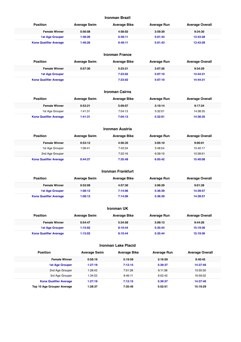#### **Ironman Brazil**

| Position                      | <b>Average Swim</b> | <b>Average Bike</b> | Average Run | <b>Average Overall</b> |
|-------------------------------|---------------------|---------------------|-------------|------------------------|
| <b>Female Winner</b>          | 0:56:08             | 4:58:02             | 3:59:39     | 9:34:30                |
| <b>1st Age Grouper</b>        | 1:46:26             | 6:40:11             | 5:01:43     | 13:43:28               |
| <b>Kona Qualifier Average</b> | 1:46:26             | 6:40:11             | 5:01:43     | 13:43:28               |

| <b>Ironman France</b>         |                     |                     |                    |                        |  |
|-------------------------------|---------------------|---------------------|--------------------|------------------------|--|
| <b>Position</b>               | <b>Average Swim</b> | <b>Average Bike</b> | <b>Average Run</b> | <b>Average Overall</b> |  |
| <b>Female Winner</b>          | 0:57:30             | 5:23:21             | 3:07:26            | 9:34:29                |  |
| <b>1st Age Grouper</b>        |                     | 7:23:02             | 5:07:10            | 14:44:31               |  |
| <b>Kona Qualifier Average</b> |                     | 7:23:02             | 5:07:10            | 14:44:31               |  |

|                               |                     | <b>Ironman Cairns</b> |                    |                        |
|-------------------------------|---------------------|-----------------------|--------------------|------------------------|
| <b>Position</b>               | <b>Average Swim</b> | <b>Average Bike</b>   | <b>Average Run</b> | <b>Average Overall</b> |
| <b>Female Winner</b>          | 0:53:21             | 5:09:07               | 3:10:14            | 9:17:24                |
| 1st Age Grouper               | 1:41:31             | 7:04:13               | 5:32:01            | 14:38:35               |
| <b>Kona Qualifier Average</b> | 1:41:31             | 7:04:13               | 5:32:01            | 14:38:35               |

| Ironman Austria               |                     |                     |                    |                        |  |
|-------------------------------|---------------------|---------------------|--------------------|------------------------|--|
| <b>Position</b>               | <b>Average Swim</b> | <b>Average Bike</b> | <b>Average Run</b> | <b>Average Overall</b> |  |
| <b>Female Winner</b>          | 0:53:12             | 4:56:35             | 3:05:10            | 9:00:01                |  |
| 1st Age Grouper               | 1:06:41             | 7:42:34             | 5:48:54            | 15:40:17               |  |
| 2nd Age Grouper               |                     | 7:22:16             | 6:39:19            | 15:39:51               |  |
| <b>Kona Qualifier Average</b> | 0:44:27             | 7:35:48             | 6:05:42            | 15:40:08               |  |

|                               |                     | <b>Ironman Frankfurt</b> |                    |                        |
|-------------------------------|---------------------|--------------------------|--------------------|------------------------|
| <b>Position</b>               | <b>Average Swim</b> | <b>Average Bike</b>      | <b>Average Run</b> | <b>Average Overall</b> |
| <b>Female Winner</b>          | 0:52:09             | 4:57:30                  | 3:06:29            | 9:01:28                |
| <b>1st Age Grouper</b>        | 1:08:12             | 7:14:06                  | 5:36:39            | 14:39:57               |
| <b>Kona Qualifier Average</b> | 1:08:12             | 7:14:06                  | 5:36:39            | 14:39:57               |

| <b>Ironman UK</b>             |                     |                     |             |                        |  |
|-------------------------------|---------------------|---------------------|-------------|------------------------|--|
| <b>Position</b>               | <b>Average Swim</b> | <b>Average Bike</b> | Average Run | <b>Average Overall</b> |  |
| <b>Female Winner</b>          | 0:54:47             | 5:34:58             | 3:09:13     | 9:44:26                |  |
| <b>1st Age Grouper</b>        | 1:15:02             | 8:10:44             | 5:35:44     | 15:19:36               |  |
| <b>Kona Qualifier Average</b> | 1:15:02             | 8:10:44             | 5:35:44     | 15:19:36               |  |

# **Ironman Lake Placid**

| <b>Position</b>               | <b>Average Swim</b> | <b>Average Bike</b> | <b>Average Run</b> | <b>Average Overall</b> |
|-------------------------------|---------------------|---------------------|--------------------|------------------------|
| <b>Female Winner</b>          | 0:58:19             | 5:19:59             | 3:16:59            | 9:40:45                |
| <b>1st Age Grouper</b>        | 1:27:19             | 7:12:15             | 5:39:37            | 14:37:46               |
| 2nd Age Grouper               | 1:28:42             | 7:51:26             | 6:11:38            | 15:55:50               |
| 3rd Age Grouper               | 1:34:52             | 8:46:11             | 6:02:42            | 16:59:02               |
| <b>Kona Qualifier Average</b> | 1:27:19             | 7:12:15             | 5:39:37            | 14:37:46               |
| Top 10 Age Grouper Average    | 1:28:37             | 7:35:45             | 5:52:51            | 15:19:29               |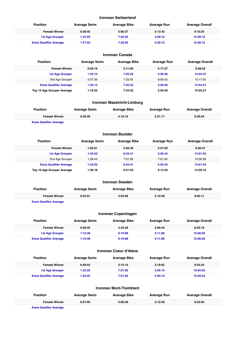#### **Ironman Switzerland**

| Position                      | <b>Average Swim</b> | <b>Average Bike</b> | Average Run | <b>Average Overall</b> |
|-------------------------------|---------------------|---------------------|-------------|------------------------|
| <b>Female Winner</b>          | 0:58:45             | 5:00:37             | 3:13:43     | 9:16:24                |
| <b>1st Age Grouper</b>        | 1:47:03             | 7:32:03             | 5:29:12     | 15:00:15               |
| <b>Kona Qualifier Average</b> | 1:47:03             | 7:32:03             | 5:29:12     | 15:00:15               |

| Ironman Canada |
|----------------|
|----------------|

| <b>Position</b>               | <b>Average Swim</b> | <b>Average Bike</b> | <b>Average Run</b> | <b>Average Overall</b> |  |
|-------------------------------|---------------------|---------------------|--------------------|------------------------|--|
| <b>Female Winner</b>          | 0:56:18             | 5:11:00             | 3:17:27            | 9:28:52                |  |
| <b>1st Age Grouper</b>        | 1:33:13             | 7:25:22             | 5:39:30            | 14:54:47               |  |
| 2nd Age Grouper               | 0:57:39             | 7:22:42             | 6:09:43            | 15:17:55               |  |
| <b>Kona Qualifier Average</b> | 1:33:13             | 7:25:22             | 5:39:30            | 14:54:47               |  |
| Top 10 Age Grouper Average    | 1:19:53             | 7:24:22             | 5:50:50            | 15:03:27               |  |

# **Ironman Maastricht-Limburg**

| <b>Position</b><br><b>Average Bike</b><br><b>Average Swim</b><br><b>Average Run</b> | <b>Average Overall</b> |  |
|-------------------------------------------------------------------------------------|------------------------|--|
| 0:56:26<br><b>Female Winner</b><br>5:16:10<br>3:21:17                               | 9:39:24                |  |

**Kona Qualifier Average**

# **Ironman Boulder**

| <b>Position</b>               | <b>Average Swim</b> | <b>Average Bike</b> | <b>Average Run</b> | <b>Average Overall</b> |
|-------------------------------|---------------------|---------------------|--------------------|------------------------|
| <b>Female Winner</b>          | 1:05:01             | 4:56:46             | 3:27:02            | 9:36:47                |
| <b>1st Age Grouper</b>        | 1:43:52             | 6:34:41             | 5:25:44            | 14:01:54               |
| 2nd Age Grouper               | 1:28:44             | 7:07:26             | 7:01:00            | 15:56:38               |
| <b>Kona Qualifier Average</b> | 1:43:52             | 6:34:41             | 5:25:44            | 14:01:54               |
| Top 10 Age Grouper Average    | 1:36:18             | 6:51:03             | 6:13:22            | 14:59:16               |

|                               |                     | <b>Ironman Sweden</b> |             |                        |
|-------------------------------|---------------------|-----------------------|-------------|------------------------|
| <b>Position</b>               | <b>Average Swim</b> | <b>Average Bike</b>   | Average Run | <b>Average Overall</b> |
| <b>Female Winner</b>          | 0:55:01             | 4:54:58               | 3:10:40     | 9:04:11                |
| <b>Kona Qualifier Average</b> |                     |                       |             |                        |

| Ironman Copenhagen            |                        |                     |                     |             |                        |  |
|-------------------------------|------------------------|---------------------|---------------------|-------------|------------------------|--|
| <b>Position</b>               |                        | <b>Average Swim</b> | <b>Average Bike</b> | Average Run | <b>Average Overall</b> |  |
|                               | <b>Female Winner</b>   | 0:50:45             | 4:45:29             | 3:09:45     | 8:50:19                |  |
|                               | <b>1st Age Grouper</b> | 1:15:49             | 6:10:08             | 5:11:08     | 12:56:50               |  |
| <b>Kona Qualifier Average</b> |                        | 1:15:49             | 6:10:08             | 5:11:08     | 12:56:50               |  |

#### **Ironman Coeur d'Alene**

| <b>Position</b>               | <b>Average Swim</b> | <b>Average Bike</b> | Average Run | <b>Average Overall</b> |
|-------------------------------|---------------------|---------------------|-------------|------------------------|
| <b>Female Winner</b>          | 0:56:54             | 5:15:10             | 3:18:02     | 9:34:24                |
| <b>1st Age Grouper</b>        | 1:33:25             | 7:21:02             | 5:55:15     | 15:04:23               |
| <b>Kona Qualifier Average</b> | 1:33:25             | 7:21:02             | 5:55:15     | 15:04:23               |

| <b>Ironman Mont-Tremblant</b> |                     |                     |             |                        |  |  |
|-------------------------------|---------------------|---------------------|-------------|------------------------|--|--|
| <b>Position</b>               | <b>Average Swim</b> | <b>Average Bike</b> | Average Run | <b>Average Overall</b> |  |  |
| <b>Female Winner</b>          | 0:57:05             | 5:06:36             | 3:12:59     | 9:22:03                |  |  |
| <b>Kona Qualifier Average</b> |                     |                     |             |                        |  |  |